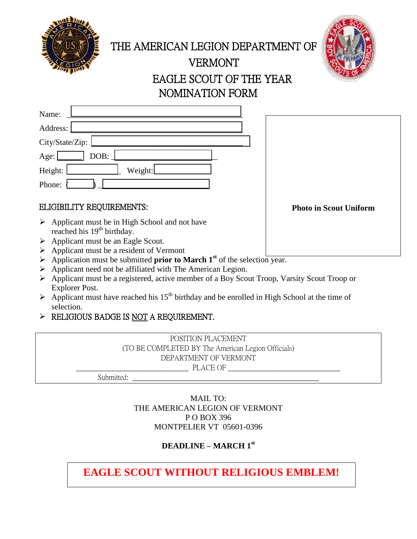

THE AMERICAN LEGION DEPARTMENT OF

# VERMONT EAGLE SCOUT OF THE YEAR NOMINATION FORM

| Name:                  |         |
|------------------------|---------|
| Address:               |         |
| City/State/Zip:        |         |
| Age: $\lfloor$<br>DOB: |         |
| Height:                | Weight: |
| Phone:                 |         |

### ELIGIBILITY REQUIREMENTS:

- $\triangleright$  Applicant must be in High School and not have reached his  $19<sup>th</sup>$  birthday.
- $\triangleright$  Applicant must be an Eagle Scout.
- $\triangleright$  Applicant must be a resident of Vermont
- $\triangleright$  Application must be submitted **prior to March 1**<sup>st</sup> of the selection year.
- Applicant need not be affiliated with The American Legion.
- Applicant must be a registered, active member of a Boy Scout Troop, Varsity Scout Troop or Explorer Post.
- $\triangleright$  Applicant must have reached his 15<sup>th</sup> birthday and be enrolled in High School at the time of selection.
- > RELIGIOUS BADGE IS NOT A REQUIREMENT.

POSITION PLACEMENT (TO BE COMPLETED BY The American Legion Officials) DEPARTMENT OF VERMONT PLACE OF

Submitted:

MAIL TO: THE AMERICAN LEGION OF VERMONT P O BOX 396 MONTPELIER VT 05601-0396

# **DEADLINE – MARCH 1st**

**EAGLE SCOUT WITHOUT RELIGIOUS EMBLEM!**

#### **Photo in Scout Uniform**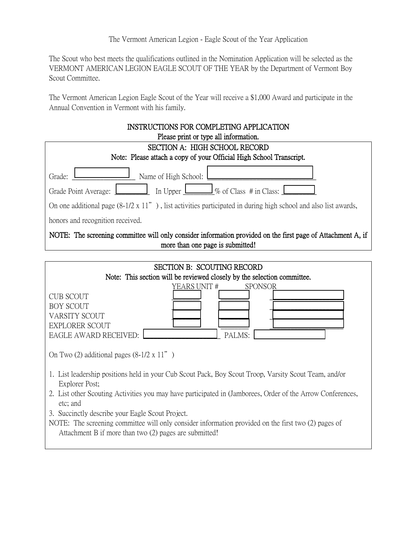The Scout who best meets the qualifications outlined in the Nomination Application will be selected as the VERMONT AMERICAN LEGION EAGLE SCOUT OF THE YEAR by the Department of Vermont Boy Scout Committee.

The Vermont American Legion Eagle Scout of the Year will receive a \$1,000 Award and participate in the Annual Convention in Vermont with his family.

| <b>INSTRUCTIONS FOR COMPLETING APPLICATION</b>                                                                                                  |  |
|-------------------------------------------------------------------------------------------------------------------------------------------------|--|
| Please print or type all information.                                                                                                           |  |
| SECTION A: HIGH SCHOOL RECORD                                                                                                                   |  |
| Note: Please attach a copy of your Official High School Transcript.                                                                             |  |
| Name of High School:<br>Grade:                                                                                                                  |  |
| In Upper $\Box$ % of Class # in Class: L<br>Grade Point Average:                                                                                |  |
| On one additional page $(8-1/2 \times 11'')$ , list activities participated in during high school and also list awards,                         |  |
| honors and recognition received.                                                                                                                |  |
| NOTE: The screening committee will only consider information provided on the first page of Attachment A, if<br>more than one page is submitted! |  |
|                                                                                                                                                 |  |

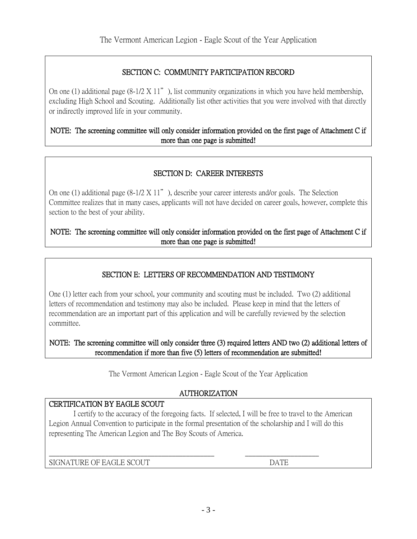### SECTION C: COMMUNITY PARTICIPATION RECORD

On one (1) additional page  $(8-1/2 \times 11)$ , list community organizations in which you have held membership, excluding High School and Scouting. Additionally list other activities that you were involved with that directly or indirectly improved life in your community.

#### NOTE: The screening committee will only consider information provided on the first page of Attachment C if more than one page is submitted!

### SECTION D: CAREER INTERESTS

On one (1) additional page  $(8-1/2 \times 11'')$ , describe your career interests and/or goals. The Selection Committee realizes that in many cases, applicants will not have decided on career goals, however, complete this section to the best of your ability.

#### NOTE: The screening committee will only consider information provided on the first page of Attachment C if more than one page is submitted!

#### SECTION E: LETTERS OF RECOMMENDATION AND TESTIMONY

One (1) letter each from your school, your community and scouting must be included. Two (2) additional letters of recommendation and testimony may also be included. Please keep in mind that the letters of recommendation are an important part of this application and will be carefully reviewed by the selection committee.

NOTE: The screening committee will only consider three (3) required letters AND two (2) additional letters of recommendation if more than five (5) letters of recommendation are submitted!

The Vermont American Legion - Eagle Scout of the Year Application

#### AUTHORIZATION

#### CERTIFICATION BY EAGLE SCOUT

I certify to the accuracy of the foregoing facts. If selected, I will be free to travel to the American Legion Annual Convention to participate in the formal presentation of the scholarship and I will do this representing The American Legion and The Boy Scouts of America.

 $\_$  , and the set of the set of the set of the set of the set of the set of the set of the set of the set of the set of the set of the set of the set of the set of the set of the set of the set of the set of the set of th

SIGNATURE OF EAGLE SCOUT DATE